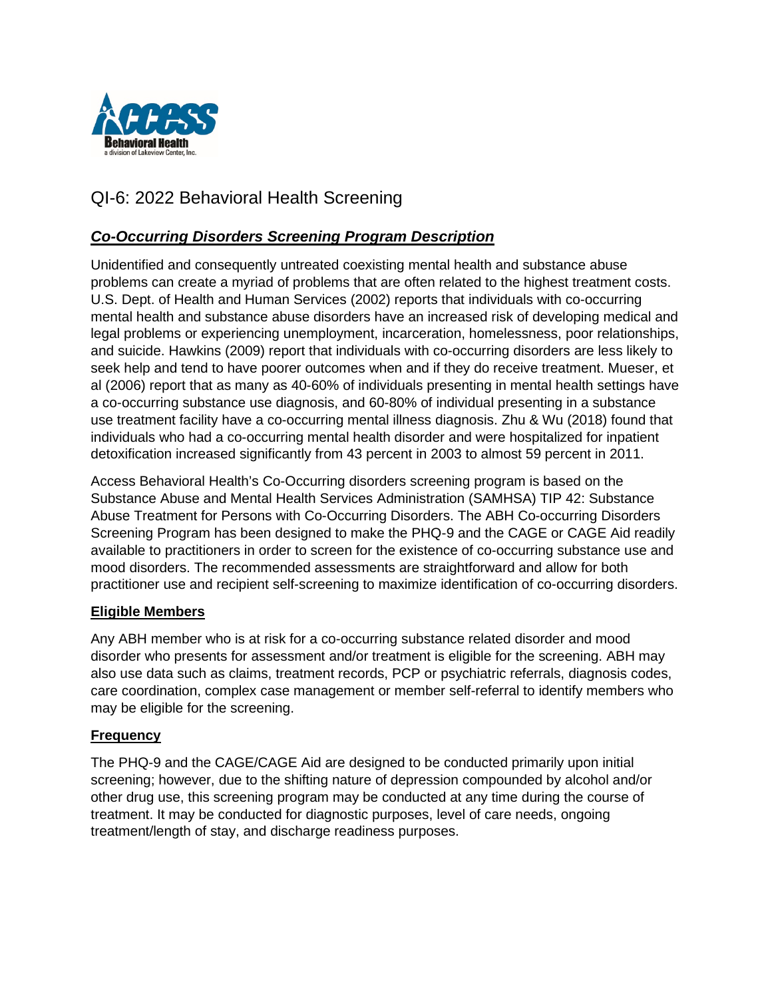

# QI-6: 2022 Behavioral Health Screening

## *Co-Occurring Disorders Screening Program Description*

Unidentified and consequently untreated coexisting mental health and substance abuse problems can create a myriad of problems that are often related to the highest treatment costs. U.S. Dept. of Health and Human Services (2002) reports that individuals with co-occurring mental health and substance abuse disorders have an increased risk of developing medical and legal problems or experiencing unemployment, incarceration, homelessness, poor relationships, and suicide. Hawkins (2009) report that individuals with co-occurring disorders are less likely to seek help and tend to have poorer outcomes when and if they do receive treatment. Mueser, et al (2006) report that as many as 40-60% of individuals presenting in mental health settings have a co-occurring substance use diagnosis, and 60-80% of individual presenting in a substance use treatment facility have a co-occurring mental illness diagnosis. Zhu & Wu (2018) found that individuals who had a co-occurring mental health disorder and were hospitalized for inpatient detoxification increased significantly from 43 percent in 2003 to almost 59 percent in 2011.

Access Behavioral Health's Co-Occurring disorders screening program is based on the Substance Abuse and Mental Health Services Administration (SAMHSA) TIP 42: Substance Abuse Treatment for Persons with Co-Occurring Disorders. The ABH Co-occurring Disorders Screening Program has been designed to make the PHQ-9 and the CAGE or CAGE Aid readily available to practitioners in order to screen for the existence of co-occurring substance use and mood disorders. The recommended assessments are straightforward and allow for both practitioner use and recipient self-screening to maximize identification of co-occurring disorders.

## **Eligible Members**

Any ABH member who is at risk for a co-occurring substance related disorder and mood disorder who presents for assessment and/or treatment is eligible for the screening. ABH may also use data such as claims, treatment records, PCP or psychiatric referrals, diagnosis codes, care coordination, complex case management or member self-referral to identify members who may be eligible for the screening.

## **Frequency**

The PHQ-9 and the CAGE/CAGE Aid are designed to be conducted primarily upon initial screening; however, due to the shifting nature of depression compounded by alcohol and/or other drug use, this screening program may be conducted at any time during the course of treatment. It may be conducted for diagnostic purposes, level of care needs, ongoing treatment/length of stay, and discharge readiness purposes.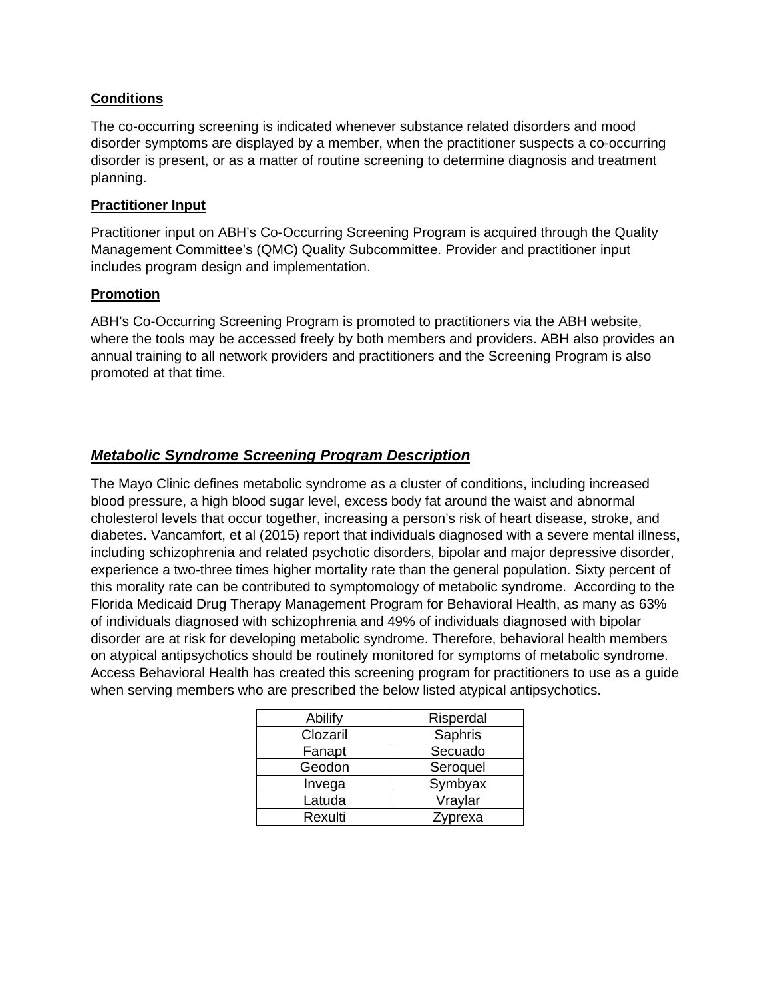## **Conditions**

The co-occurring screening is indicated whenever substance related disorders and mood disorder symptoms are displayed by a member, when the practitioner suspects a co-occurring disorder is present, or as a matter of routine screening to determine diagnosis and treatment planning.

## **Practitioner Input**

Practitioner input on ABH's Co-Occurring Screening Program is acquired through the Quality Management Committee's (QMC) Quality Subcommittee. Provider and practitioner input includes program design and implementation.

## **Promotion**

ABH's Co-Occurring Screening Program is promoted to practitioners via the ABH website, where the tools may be accessed freely by both members and providers. ABH also provides an annual training to all network providers and practitioners and the Screening Program is also promoted at that time.

## *Metabolic Syndrome Screening Program Description*

The Mayo Clinic defines metabolic syndrome as a cluster of conditions, including increased blood pressure, a high blood sugar level, excess body fat around the waist and abnormal cholesterol levels that occur together, increasing a person's risk of heart disease, stroke, and diabetes. Vancamfort, et al (2015) report that individuals diagnosed with a severe mental illness, including schizophrenia and related psychotic disorders, bipolar and major depressive disorder, experience a two-three times higher mortality rate than the general population. Sixty percent of this morality rate can be contributed to symptomology of metabolic syndrome. According to the Florida Medicaid Drug Therapy Management Program for Behavioral Health, as many as 63% of individuals diagnosed with schizophrenia and 49% of individuals diagnosed with bipolar disorder are at risk for developing metabolic syndrome. Therefore, behavioral health members on atypical antipsychotics should be routinely monitored for symptoms of metabolic syndrome. Access Behavioral Health has created this screening program for practitioners to use as a guide when serving members who are prescribed the below listed atypical antipsychotics.

| Abilify  | Risperdal |
|----------|-----------|
| Clozaril | Saphris   |
| Fanapt   | Secuado   |
| Geodon   | Seroquel  |
| Invega   | Symbyax   |
| Latuda   | Vraylar   |
| Rexulti  | Zyprexa   |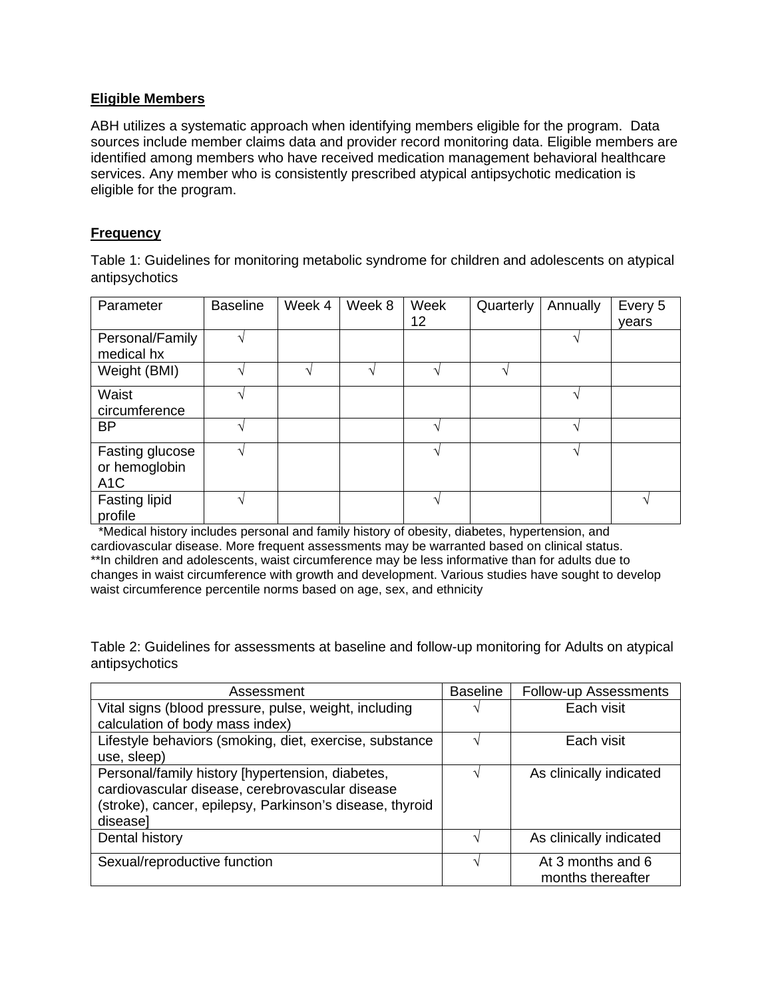## **Eligible Members**

ABH utilizes a systematic approach when identifying members eligible for the program. Data sources include member claims data and provider record monitoring data. Eligible members are identified among members who have received medication management behavioral healthcare services. Any member who is consistently prescribed atypical antipsychotic medication is eligible for the program.

## **Frequency**

Table 1: Guidelines for monitoring metabolic syndrome for children and adolescents on atypical antipsychotics

| Parameter                                            | <b>Baseline</b> | Week 4 | Week 8 | Week<br>12 | Quarterly | Annually | Every 5<br>vears |
|------------------------------------------------------|-----------------|--------|--------|------------|-----------|----------|------------------|
| Personal/Family<br>medical hx                        |                 |        |        |            |           |          |                  |
| Weight (BMI)                                         |                 |        |        |            |           |          |                  |
| Waist<br>circumference                               |                 |        |        |            |           |          |                  |
| <b>BP</b>                                            |                 |        |        |            |           |          |                  |
| Fasting glucose<br>or hemoglobin<br>A <sub>1</sub> C |                 |        |        |            |           |          |                  |
| <b>Fasting lipid</b><br>profile                      |                 |        |        |            |           |          |                  |

\*Medical history includes personal and family history of obesity, diabetes, hypertension, and cardiovascular disease. More frequent assessments may be warranted based on clinical status. \*\*In children and adolescents, waist circumference may be less informative than for adults due to changes in waist circumference with growth and development. Various studies have sought to develop waist circumference percentile norms based on age, sex, and ethnicity

Table 2: Guidelines for assessments at baseline and follow-up monitoring for Adults on atypical antipsychotics

| Assessment                                               | <b>Baseline</b>   | Follow-up Assessments   |
|----------------------------------------------------------|-------------------|-------------------------|
| Vital signs (blood pressure, pulse, weight, including    | ٦                 | Each visit              |
| calculation of body mass index)                          |                   |                         |
| Lifestyle behaviors (smoking, diet, exercise, substance  |                   | Each visit              |
| use, sleep)                                              |                   |                         |
| Personal/family history [hypertension, diabetes,         |                   | As clinically indicated |
| cardiovascular disease, cerebrovascular disease          |                   |                         |
| (stroke), cancer, epilepsy, Parkinson's disease, thyroid |                   |                         |
| diseasel                                                 |                   |                         |
| Dental history                                           |                   | As clinically indicated |
|                                                          |                   |                         |
| Sexual/reproductive function                             | $\mathbf \Lambda$ | At 3 months and 6       |
|                                                          |                   | months thereafter       |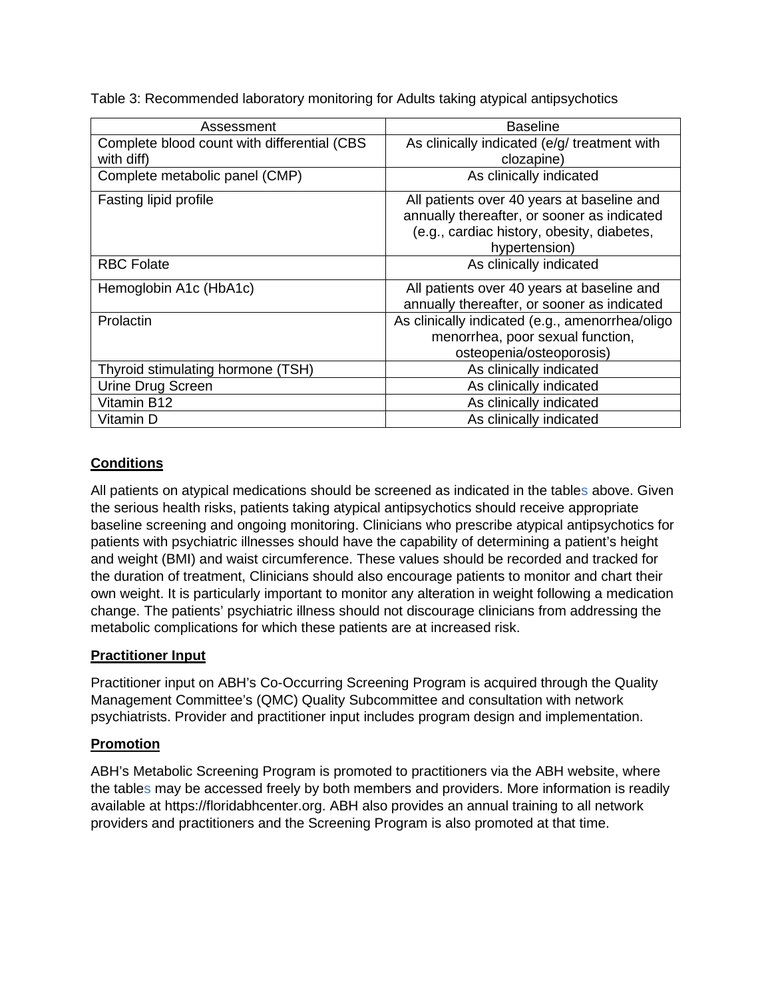Table 3: Recommended laboratory monitoring for Adults taking atypical antipsychotics

| Assessment                                  | <b>Baseline</b>                                 |
|---------------------------------------------|-------------------------------------------------|
| Complete blood count with differential (CBS | As clinically indicated (e/g/ treatment with    |
| with diff)                                  | clozapine)                                      |
| Complete metabolic panel (CMP)              | As clinically indicated                         |
| Fasting lipid profile                       | All patients over 40 years at baseline and      |
|                                             | annually thereafter, or sooner as indicated     |
|                                             | (e.g., cardiac history, obesity, diabetes,      |
|                                             | hypertension)                                   |
| <b>RBC Folate</b>                           | As clinically indicated                         |
| Hemoglobin A1c (HbA1c)                      | All patients over 40 years at baseline and      |
|                                             | annually thereafter, or sooner as indicated     |
| Prolactin                                   | As clinically indicated (e.g., amenorrhea/oligo |
|                                             | menorrhea, poor sexual function,                |
|                                             | osteopenia/osteoporosis)                        |
| Thyroid stimulating hormone (TSH)           | As clinically indicated                         |
| Urine Drug Screen                           | As clinically indicated                         |
| Vitamin B12                                 | As clinically indicated                         |
| Vitamin D                                   | As clinically indicated                         |

## **Conditions**

All patients on atypical medications should be screened as indicated in the tables above. Given the serious health risks, patients taking atypical antipsychotics should receive appropriate baseline screening and ongoing monitoring. Clinicians who prescribe atypical antipsychotics for patients with psychiatric illnesses should have the capability of determining a patient's height and weight (BMI) and waist circumference. These values should be recorded and tracked for the duration of treatment, Clinicians should also encourage patients to monitor and chart their own weight. It is particularly important to monitor any alteration in weight following a medication change. The patients' psychiatric illness should not discourage clinicians from addressing the metabolic complications for which these patients are at increased risk.

## **Practitioner Input**

Practitioner input on ABH's Co-Occurring Screening Program is acquired through the Quality Management Committee's (QMC) Quality Subcommittee and consultation with network psychiatrists. Provider and practitioner input includes program design and implementation.

## **Promotion**

ABH's Metabolic Screening Program is promoted to practitioners via the ABH website, where the tables may be accessed freely by both members and providers. More information is readily available at https://floridabhcenter.org. ABH also provides an annual training to all network providers and practitioners and the Screening Program is also promoted at that time.